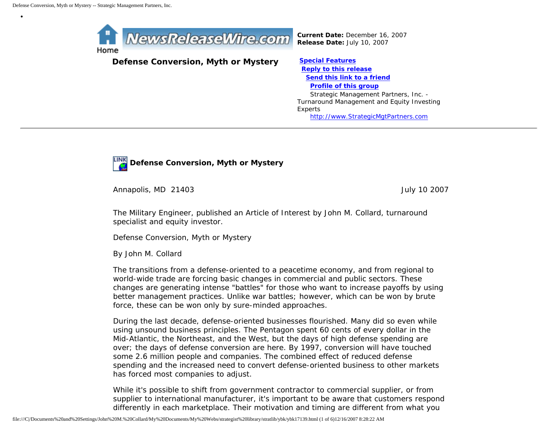•



*Current Date:* December 16, 2007 *Release Date:* July 10, 2007

# **Defense Conversion, Myth or Mystery [Special Features](javascript:openlittleme()**

 **[Reply to this release](file:///C|/Documents%20and%20Settings/John%20M.%20Collard/My%20Documents/My%20Webs/strategist%20library/stratlib/ybk/default.cfm?Action=ReplyRelease&Id=17139) [Send this link to a friend](file:///C|/Documents%20and%20Settings/John%20M.%20Collard/My%20Documents/My%20Webs/strategist%20library/stratlib/ybk/default.cfm?Action=SendLink&SendId=17139) [Profile of this group](file:///C|/Documents%20and%20Settings/John%20M.%20Collard/My%20Documents/My%20Webs/strategist%20library/stratlib/ybk/default.cfm?Action=Profile&ProfileId=623)** Strategic Management Partners, Inc. - Turnaround Management and Equity Investing Experts [http://www.StrategicMgtPartners.com](http://www.strategicmgtpartners.com/)



Annapolis, MD 21403 **July 10 2007** 

The Military Engineer, published an Article of Interest by John M. Collard, turnaround specialist and equity investor.

Defense Conversion, Myth or Mystery

By John M. Collard

The transitions from a defense-oriented to a peacetime economy, and from regional to world-wide trade are forcing basic changes in commercial and public sectors. These changes are generating intense "battles" for those who want to increase payoffs by using better management practices. Unlike war battles; however, which can be won by brute force, these can be won only by sure-minded approaches.

During the last decade, defense-oriented businesses flourished. Many did so even while using unsound business principles. The Pentagon spent 60 cents of every dollar in the Mid-Atlantic, the Northeast, and the West, but the days of high defense spending are over; the days of defense conversion are here. By 1997, conversion will have touched some 2.6 million people and companies. The combined effect of reduced defense spending and the increased need to convert defense-oriented business to other markets has forced most companies to adjust.

While it's possible to shift from government contractor to commercial supplier, or from supplier to international manufacturer, it's important to be aware that customers respond differently in each marketplace. Their motivation and timing are different from what you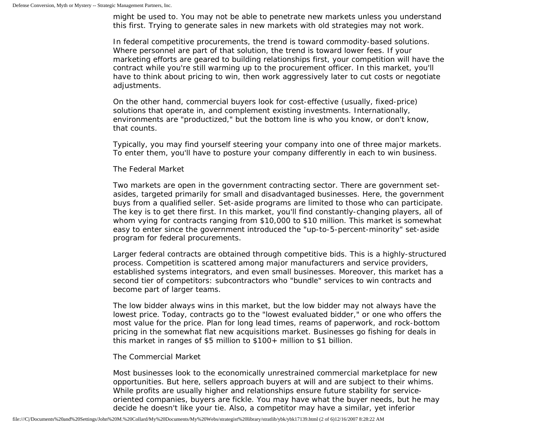might be used to. You may not be able to penetrate new markets unless you understand this first. Trying to generate sales in new markets with old strategies may not work.

In federal competitive procurements, the trend is toward commodity-based solutions. Where personnel are part of that solution, the trend is toward lower fees. If your marketing efforts are geared to building relationships first, your competition will have the contract while you're still warming up to the procurement officer. In this market, you'll have to think about pricing to win, then work aggressively later to cut costs or negotiate adjustments.

On the other hand, commercial buyers look for cost-effective (usually, fixed-price) solutions that operate in, and complement existing investments. Internationally, environments are "productized," but the bottom line is who you know, or don't know, that counts.

Typically, you may find yourself steering your company into one of three major markets. To enter them, you'll have to posture your company differently in each to win business.

## The Federal Market

Two markets are open in the government contracting sector. There are government setasides, targeted primarily for small and disadvantaged businesses. Here, the government buys from a qualified seller. Set-aside programs are limited to those who can participate. The key is to get there first. In this market, you'll find constantly-changing players, all of whom vying for contracts ranging from \$10,000 to \$10 million. This market is somewhat easy to enter since the government introduced the "up-to-5-percent-minority" set-aside program for federal procurements.

Larger federal contracts are obtained through competitive bids. This is a highly-structured process. Competition is scattered among major manufacturers and service providers, established systems integrators, and even small businesses. Moreover, this market has a second tier of competitors: subcontractors who "bundle" services to win contracts and become part of larger teams.

The low bidder always wins in this market, but the low bidder may not always have the lowest price. Today, contracts go to the "lowest evaluated bidder," or one who offers the most value for the price. Plan for long lead times, reams of paperwork, and rock-bottom pricing in the somewhat flat new acquisitions market. Businesses go fishing for deals in this market in ranges of \$5 million to \$100+ million to \$1 billion.

## The Commercial Market

Most businesses look to the economically unrestrained commercial marketplace for new opportunities. But here, sellers approach buyers at will and are subject to their whims. While profits are usually higher and relationships ensure future stability for serviceoriented companies, buyers are fickle. You may have what the buyer needs, but he may decide he doesn't like your tie. Also, a competitor may have a similar, yet inferior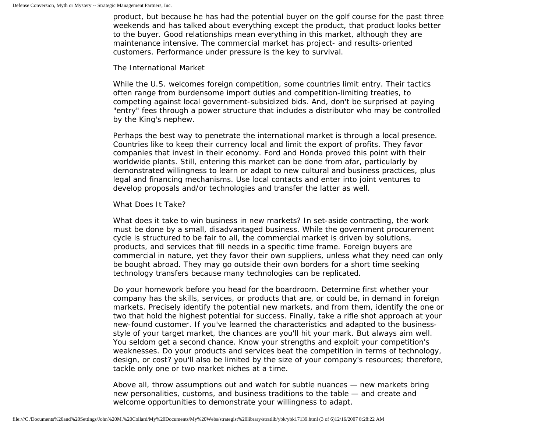product, but because he has had the potential buyer on the golf course for the past three weekends and has talked about everything except the product, that product looks better to the buyer. Good relationships mean everything in this market, although they are maintenance intensive. The commercial market has project- and results-oriented customers. Performance under pressure is the key to survival.

#### The International Market

While the U.S. welcomes foreign competition, some countries limit entry. Their tactics often range from burdensome import duties and competition-limiting treaties, to competing against local government-subsidized bids. And, don't be surprised at paying "entry" fees through a power structure that includes a distributor who may be controlled by the King's nephew.

Perhaps the best way to penetrate the international market is through a local presence. Countries like to keep their currency local and limit the export of profits. They favor companies that invest in their economy. Ford and Honda proved this point with their worldwide plants. Still, entering this market can be done from afar, particularly by demonstrated willingness to learn or adapt to new cultural and business practices, plus legal and financing mechanisms. Use local contacts and enter into joint ventures to develop proposals and/or technologies and transfer the latter as well.

#### What Does It Take?

What does it take to win business in new markets? In set-aside contracting, the work must be done by a small, disadvantaged business. While the government procurement cycle is structured to be fair to all, the commercial market is driven by solutions, products, and services that fill needs in a specific time frame. Foreign buyers are commercial in nature, yet they favor their own suppliers, unless what they need can only be bought abroad. They may go outside their own borders for a short time seeking technology transfers because many technologies can be replicated.

Do your homework before you head for the boardroom. Determine first whether your company has the skills, services, or products that are, or could be, in demand in foreign markets. Precisely identify the potential new markets, and from them, identify the one or two that hold the highest potential for success. Finally, take a rifle shot approach at your new-found customer. If you've learned the characteristics and adapted to the businessstyle of your target market, the chances are you'll hit your mark. But always aim well. You seldom get a second chance. Know your strengths and exploit your competition's weaknesses. Do your products and services beat the competition in terms of technology, design, or cost? you'll also be limited by the size of your company's resources; therefore, tackle only one or two market niches at a time.

Above all, throw assumptions out and watch for subtle nuances — new markets bring new personalities, customs, and business traditions to the table — and create and welcome opportunities to demonstrate your willingness to adapt.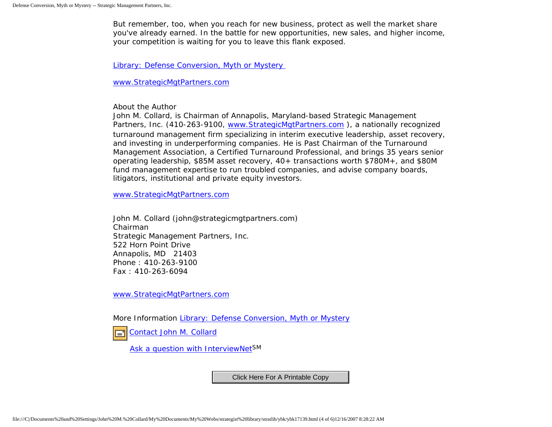But remember, too, when you reach for new business, protect as well the market share you've already earned. In the battle for new opportunities, new sales, and higher income, your competition is waiting for you to leave this flank exposed.

[Library: Defense Conversion, Myth or Mystery](http://members.aol.com/stratlib3/tmedef.html)

[www.StrategicMgtPartners.com](http://www.strategicmgtpartners.com/)

About the Author

John M. Collard, is Chairman of Annapolis, Maryland-based Strategic Management Partners, Inc. (410-263-9100, [www.StrategicMgtPartners.com](http://www.strategicmgtpartners.com/) ), a nationally recognized turnaround management firm specializing in interim executive leadership, asset recovery, and investing in underperforming companies. He is Past Chairman of the Turnaround Management Association, a Certified Turnaround Professional, and brings 35 years senior operating leadership, \$85M asset recovery, 40+ transactions worth \$780M+, and \$80M fund management expertise to run troubled companies, and advise company boards, litigators, institutional and private equity investors.

[www.StrategicMgtPartners.com](http://www.strategicmgtpartners.com/)

John M. Collard (john@strategicmgtpartners.com) Chairman Strategic Management Partners, Inc. 522 Horn Point Drive Annapolis, MD 21403 Phone : 410-263-9100 Fax : 410-263-6094

[www.StrategicMgtPartners.com](http://www.strategicmgtpartners.com/)

More Information [Library: Defense Conversion, Myth or Mystery](http://members.aol.com/stratlib3/tmedef.html)

[Contact John M. Collard](http://www.expertclick.com/expertClick/contact/default.cfm?Action=ContactExpert&GroupID=1016)

[Ask a question with InterviewNetS](http://www.expertclick.com/expertClick/contact/default.cfm?GroupID=1016)M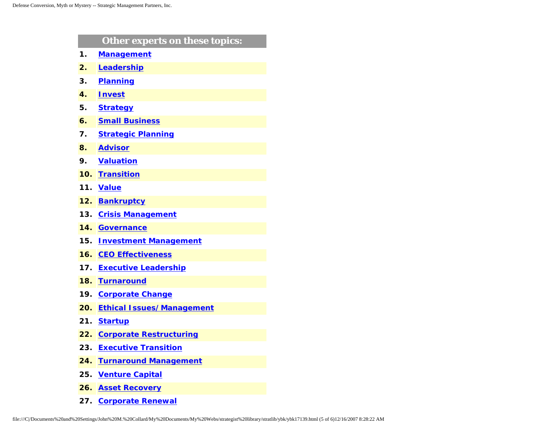|     | <b>Other experts on these topics:</b> |
|-----|---------------------------------------|
| 1.  | <b>Management</b>                     |
| 2.  | Leadership                            |
| 3.  | <b>Planning</b>                       |
| 4.  | <b>Invest</b>                         |
| 5.  | <b>Strategy</b>                       |
| 6.  | <b>Small Business</b>                 |
| 7.  | <b>Strategic Planning</b>             |
| 8.  | <b>Advisor</b>                        |
| 9.  | <b>Valuation</b>                      |
| 10. | <b>Transition</b>                     |
| 11. | <b>Value</b>                          |
| 12. | <b>Bankruptcy</b>                     |
| 13. | <b>Crisis Management</b>              |
| 14. | <b>Governance</b>                     |
| 15. | <b>Investment Management</b>          |
| 16. | <b>CEO Effectiveness</b>              |
| 17. | <b>Executive Leadership</b>           |
| 18. | <b>Turnaround</b>                     |
| 19. | <b>Corporate Change</b>               |
| 20. | <b>Ethical Issues/Management</b>      |
| 21. | <b>Startup</b>                        |
| 22. | <b>Corporate Restructuring</b>        |
| 23. | <b>Executive Transition</b>           |
| 24. | <b>Turnaround Management</b>          |
| 25. | <b>Venture Capital</b>                |
| 26. | <b>Asset Recovery</b>                 |

**27. [Corporate Renewal](http://www.expertclick.com/search/default.cfm?SearchCriteria=Corporate Renewal)**